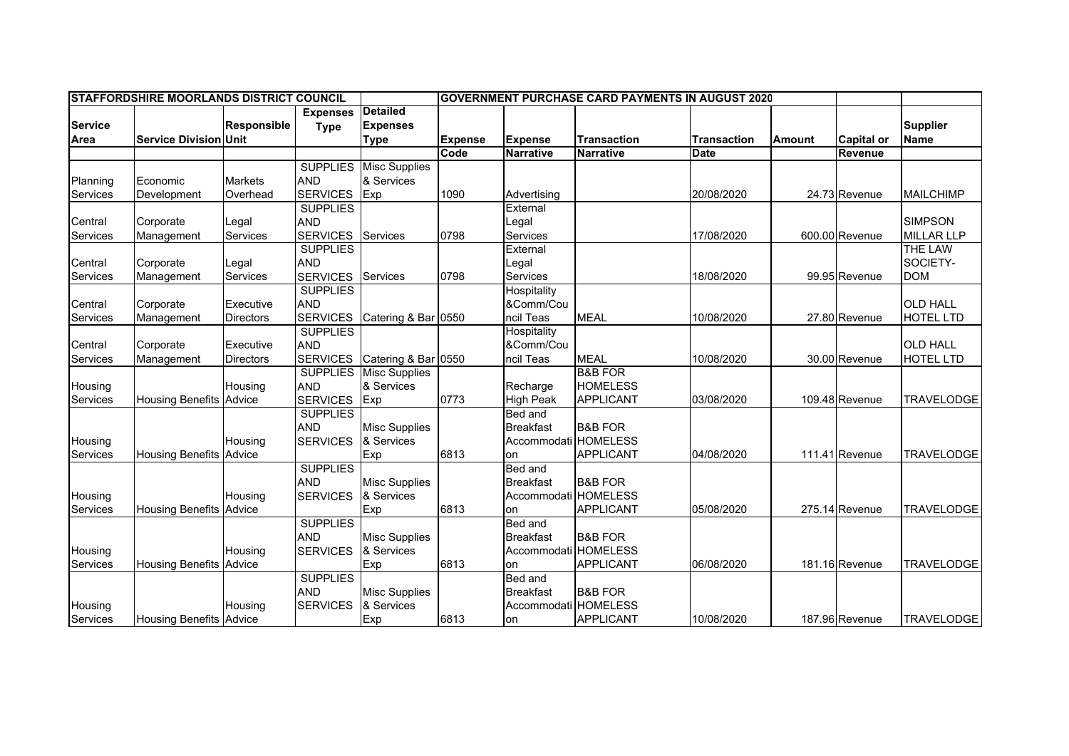|                | <b>STAFFORDSHIRE MOORLANDS DISTRICT COUNCIL</b> |                    |                 |                      | <b>GOVERNMENT PURCHASE CARD PAYMENTS IN AUGUST 2020</b> |                      |                    |                    |               |                   |                   |
|----------------|-------------------------------------------------|--------------------|-----------------|----------------------|---------------------------------------------------------|----------------------|--------------------|--------------------|---------------|-------------------|-------------------|
|                |                                                 |                    | <b>Expenses</b> | Detailed             |                                                         |                      |                    |                    |               |                   |                   |
| <b>Service</b> |                                                 | <b>Responsible</b> | <b>Type</b>     | <b>Expenses</b>      |                                                         |                      |                    |                    |               |                   | <b>Supplier</b>   |
| Area           | <b>Service Division Unit</b>                    |                    |                 | <b>Type</b>          | <b>Expense</b>                                          | <b>Expense</b>       | <b>Transaction</b> | <b>Transaction</b> | <b>Amount</b> | <b>Capital or</b> | <b>Name</b>       |
|                |                                                 |                    |                 |                      | Code                                                    | <b>Narrative</b>     | <b>Narrative</b>   | <b>Date</b>        |               | Revenue           |                   |
|                |                                                 |                    | <b>SUPPLIES</b> | <b>Misc Supplies</b> |                                                         |                      |                    |                    |               |                   |                   |
| Planning       | Economic                                        | <b>Markets</b>     | <b>AND</b>      | & Services           |                                                         |                      |                    |                    |               |                   |                   |
| Services       | Development                                     | Overhead           | <b>SERVICES</b> | Exp                  | 1090                                                    | Advertising          |                    | 20/08/2020         |               | 24.73 Revenue     | <b>MAILCHIMP</b>  |
|                |                                                 |                    | <b>SUPPLIES</b> |                      |                                                         | External             |                    |                    |               |                   |                   |
| Central        | Corporate                                       | Legal              | <b>AND</b>      |                      |                                                         | Legal                |                    |                    |               |                   | <b>SIMPSON</b>    |
| Services       | Management                                      | <b>Services</b>    | <b>SERVICES</b> | Services             | 0798                                                    | Services             |                    | 17/08/2020         |               | 600.00 Revenue    | <b>MILLAR LLP</b> |
|                |                                                 |                    | <b>SUPPLIES</b> |                      |                                                         | External             |                    |                    |               |                   | <b>THE LAW</b>    |
| Central        | Corporate                                       | Legal              | <b>AND</b>      |                      |                                                         | Legal                |                    |                    |               |                   | SOCIETY-          |
| Services       | Management                                      | Services           | <b>SERVICES</b> | Services             | 0798                                                    | Services             |                    | 18/08/2020         |               | 99.95 Revenue     | <b>DOM</b>        |
|                |                                                 |                    | <b>SUPPLIES</b> |                      |                                                         | Hospitality          |                    |                    |               |                   |                   |
| Central        | Corporate                                       | Executive          | <b>AND</b>      |                      |                                                         | &Comm/Cou            |                    |                    |               |                   | <b>OLD HALL</b>   |
| Services       | Management                                      | <b>Directors</b>   | <b>SERVICES</b> | Catering & Bar 0550  |                                                         | ncil Teas            | <b>MEAL</b>        | 10/08/2020         |               | 27.80 Revenue     | <b>HOTEL LTD</b>  |
|                |                                                 |                    | <b>SUPPLIES</b> |                      |                                                         | Hospitality          |                    |                    |               |                   |                   |
| Central        | Corporate                                       | Executive          | <b>AND</b>      |                      |                                                         | &Comm/Cou            |                    |                    |               |                   | <b>OLD HALL</b>   |
| Services       | Management                                      | <b>Directors</b>   | <b>SERVICES</b> | Catering & Bar 0550  |                                                         | ncil Teas            | <b>MEAL</b>        | 10/08/2020         |               | 30.00 Revenue     | <b>HOTEL LTD</b>  |
|                |                                                 |                    | <b>SUPPLIES</b> | <b>Misc Supplies</b> |                                                         |                      | <b>B&amp;B FOR</b> |                    |               |                   |                   |
| Housing        |                                                 | Housing            | <b>AND</b>      | & Services           |                                                         | Recharge             | <b>HOMELESS</b>    |                    |               |                   |                   |
| Services       | <b>Housing Benefits Advice</b>                  |                    | <b>SERVICES</b> | Exp                  | 0773                                                    | <b>High Peak</b>     | <b>APPLICANT</b>   | 03/08/2020         |               | 109.48 Revenue    | <b>TRAVELODGE</b> |
|                |                                                 |                    | <b>SUPPLIES</b> |                      |                                                         | Bed and              |                    |                    |               |                   |                   |
|                |                                                 |                    | <b>AND</b>      | <b>Misc Supplies</b> |                                                         | <b>Breakfast</b>     | <b>B&amp;B FOR</b> |                    |               |                   |                   |
| Housing        |                                                 | Housing            | <b>SERVICES</b> | & Services           |                                                         | Accommodati HOMELESS |                    |                    |               |                   |                   |
| Services       | <b>Housing Benefits</b>                         | Advice             |                 | Exp                  | 6813                                                    | on                   | <b>APPLICANT</b>   | 04/08/2020         |               | 111.41 Revenue    | <b>TRAVELODGE</b> |
|                |                                                 |                    | <b>SUPPLIES</b> |                      |                                                         | Bed and              |                    |                    |               |                   |                   |
|                |                                                 |                    | <b>AND</b>      | <b>Misc Supplies</b> |                                                         | <b>Breakfast</b>     | <b>B&amp;B FOR</b> |                    |               |                   |                   |
| Housing        |                                                 | Housing            | <b>SERVICES</b> | & Services           |                                                         | Accommodati HOMELESS |                    |                    |               |                   |                   |
| Services       | <b>Housing Benefits Advice</b>                  |                    |                 | Exp                  | 6813                                                    | on                   | <b>APPLICANT</b>   | 05/08/2020         |               | 275.14 Revenue    | <b>TRAVELODGE</b> |
|                |                                                 |                    | <b>SUPPLIES</b> |                      |                                                         | Bed and              |                    |                    |               |                   |                   |
|                |                                                 |                    | <b>AND</b>      | <b>Misc Supplies</b> |                                                         | <b>Breakfast</b>     | <b>B&amp;B FOR</b> |                    |               |                   |                   |
| Housing        |                                                 | Housing            | <b>SERVICES</b> | & Services           |                                                         | Accommodati HOMELESS |                    |                    |               |                   |                   |
| Services       | <b>Housing Benefits Advice</b>                  |                    |                 | Exp                  | 6813                                                    | on                   | <b>APPLICANT</b>   | 06/08/2020         |               | 181.16 Revenue    | <b>TRAVELODGE</b> |
|                |                                                 |                    | <b>SUPPLIES</b> |                      |                                                         | Bed and              |                    |                    |               |                   |                   |
|                |                                                 |                    | <b>AND</b>      | <b>Misc Supplies</b> |                                                         | <b>Breakfast</b>     | <b>B&amp;B FOR</b> |                    |               |                   |                   |
| Housing        |                                                 | Housing            | <b>SERVICES</b> | & Services           |                                                         | Accommodati HOMELESS |                    |                    |               |                   |                   |
| Services       | <b>Housing Benefits Advice</b>                  |                    |                 | Exp                  | 6813                                                    | on                   | <b>APPLICANT</b>   | 10/08/2020         |               | 187.96 Revenue    | <b>TRAVELODGE</b> |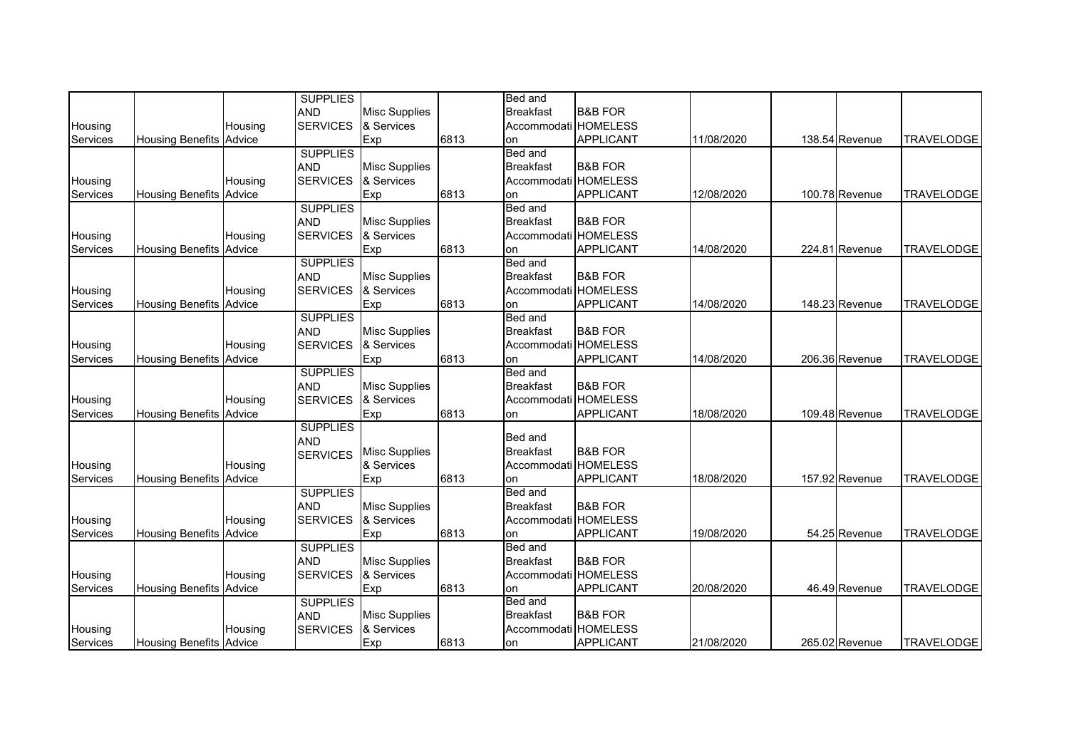|                 |                                |         | <b>SUPPLIES</b> |                      |      | Bed and              |                    |            |                |                   |
|-----------------|--------------------------------|---------|-----------------|----------------------|------|----------------------|--------------------|------------|----------------|-------------------|
|                 |                                |         | <b>AND</b>      | <b>Misc Supplies</b> |      | <b>Breakfast</b>     | <b>B&amp;B FOR</b> |            |                |                   |
| Housing         |                                | Housing | <b>SERVICES</b> | & Services           |      | Accommodati HOMELESS |                    |            |                |                   |
| Services        | <b>Housing Benefits</b>        | Advice  |                 | Exp                  | 6813 | on                   | APPLICANT          | 11/08/2020 | 138.54 Revenue | <b>TRAVELODGE</b> |
|                 |                                |         | <b>SUPPLIES</b> |                      |      | Bed and              |                    |            |                |                   |
|                 |                                |         | <b>AND</b>      | <b>Misc Supplies</b> |      | <b>Breakfast</b>     | <b>B&amp;B FOR</b> |            |                |                   |
| Housing         |                                | Housing | <b>SERVICES</b> | & Services           |      | Accommodati HOMELESS |                    |            |                |                   |
| Services        | <b>Housing Benefits Advice</b> |         |                 | Exp                  | 6813 | on                   | APPLICANT          | 12/08/2020 | 100.78 Revenue | <b>TRAVELODGE</b> |
|                 |                                |         | <b>SUPPLIES</b> |                      |      | Bed and              |                    |            |                |                   |
|                 |                                |         | <b>AND</b>      | <b>Misc Supplies</b> |      | <b>Breakfast</b>     | <b>B&amp;B FOR</b> |            |                |                   |
| Housing         |                                | Housing | <b>SERVICES</b> | & Services           |      | Accommodati HOMELESS |                    |            |                |                   |
| <b>Services</b> | <b>Housing Benefits Advice</b> |         |                 | Exp                  | 6813 | on                   | <b>APPLICANT</b>   | 14/08/2020 | 224.81 Revenue | <b>TRAVELODGE</b> |
|                 |                                |         | <b>SUPPLIES</b> |                      |      | <b>Bed and</b>       |                    |            |                |                   |
|                 |                                |         | <b>AND</b>      | <b>Misc Supplies</b> |      | <b>Breakfast</b>     | <b>B&amp;B FOR</b> |            |                |                   |
| Housing         |                                | Housing | <b>SERVICES</b> | & Services           |      | Accommodati HOMELESS |                    |            |                |                   |
| Services        | <b>Housing Benefits</b>        | Advice  |                 | Exp                  | 6813 | on                   | <b>APPLICANT</b>   | 14/08/2020 | 148.23 Revenue | <b>TRAVELODGE</b> |
|                 |                                |         | <b>SUPPLIES</b> |                      |      | <b>Bed and</b>       |                    |            |                |                   |
|                 |                                |         | <b>AND</b>      | <b>Misc Supplies</b> |      | <b>Breakfast</b>     | <b>B&amp;B FOR</b> |            |                |                   |
| Housing         |                                | Housing | <b>SERVICES</b> | & Services           |      | Accommodati HOMELESS |                    |            |                |                   |
| Services        | <b>Housing Benefits Advice</b> |         |                 | Exp                  | 6813 | on                   | APPLICANT          | 14/08/2020 | 206.36 Revenue | <b>TRAVELODGE</b> |
|                 |                                |         | <b>SUPPLIES</b> |                      |      | Bed and              |                    |            |                |                   |
|                 |                                |         | <b>AND</b>      | <b>Misc Supplies</b> |      | <b>Breakfast</b>     | <b>B&amp;B FOR</b> |            |                |                   |
| Housing         |                                | Housing | <b>SERVICES</b> | & Services           |      | Accommodati HOMELESS |                    |            |                |                   |
| Services        | <b>Housing Benefits</b>        | Advice  |                 | Exp                  | 6813 | on                   | <b>APPLICANT</b>   | 18/08/2020 | 109.48 Revenue | <b>TRAVELODGE</b> |
|                 |                                |         | <b>SUPPLIES</b> |                      |      |                      |                    |            |                |                   |
|                 |                                |         | <b>AND</b>      |                      |      | Bed and              |                    |            |                |                   |
|                 |                                |         | <b>SERVICES</b> | <b>Misc Supplies</b> |      | <b>Breakfast</b>     | <b>B&amp;B FOR</b> |            |                |                   |
| Housing         |                                | Housing |                 | & Services           |      | Accommodati HOMELESS |                    |            |                |                   |
| Services        | <b>Housing Benefits Advice</b> |         |                 | Exp                  | 6813 | on                   | APPLICANT          | 18/08/2020 | 157.92 Revenue | <b>TRAVELODGE</b> |
|                 |                                |         | <b>SUPPLIES</b> |                      |      | Bed and              |                    |            |                |                   |
|                 |                                |         | <b>AND</b>      | <b>Misc Supplies</b> |      | <b>Breakfast</b>     | <b>B&amp;B FOR</b> |            |                |                   |
| Housing         |                                | Housing | <b>SERVICES</b> | & Services           |      | Accommodati HOMELESS |                    |            |                |                   |
| Services        | <b>Housing Benefits</b>        | Advice  |                 | Exp                  | 6813 | on                   | <b>APPLICANT</b>   | 19/08/2020 | 54.25 Revenue  | <b>TRAVELODGE</b> |
|                 |                                |         | <b>SUPPLIES</b> |                      |      | Bed and              |                    |            |                |                   |
|                 |                                |         | <b>AND</b>      | <b>Misc Supplies</b> |      | <b>Breakfast</b>     | <b>B&amp;B FOR</b> |            |                |                   |
| Housing         |                                | Housing | <b>SERVICES</b> | & Services           |      | Accommodati HOMELESS |                    |            |                |                   |
| Services        | <b>Housing Benefits</b>        | Advice  |                 | Exp                  | 6813 | on                   | <b>APPLICANT</b>   | 20/08/2020 | 46.49 Revenue  | <b>TRAVELODGE</b> |
|                 |                                |         | <b>SUPPLIES</b> |                      |      | Bed and              |                    |            |                |                   |
|                 |                                |         | <b>AND</b>      | <b>Misc Supplies</b> |      | <b>Breakfast</b>     | <b>B&amp;B FOR</b> |            |                |                   |
| Housing         |                                | Housing | <b>SERVICES</b> | & Services           |      | Accommodati HOMELESS |                    |            |                |                   |
| Services        | <b>Housing Benefits Advice</b> |         |                 | Exp                  | 6813 | on                   | <b>APPLICANT</b>   | 21/08/2020 | 265.02 Revenue | <b>TRAVELODGE</b> |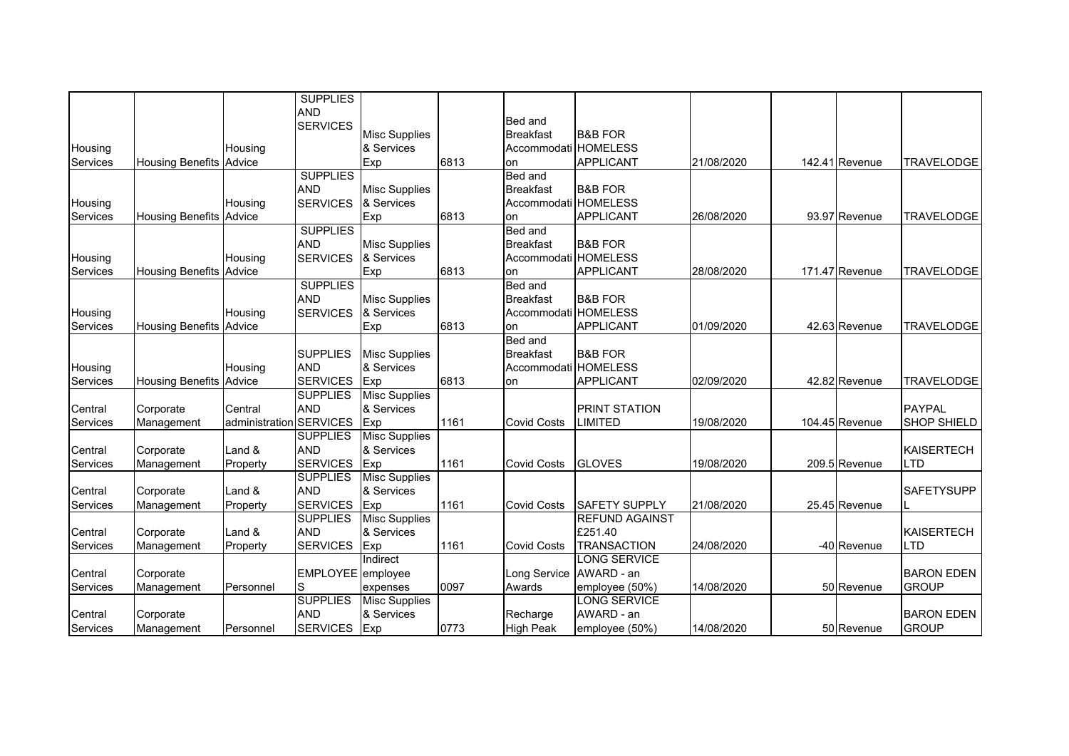|          |                                |                | <b>SUPPLIES</b>   |                      |      |                      |                       |            |                |                    |
|----------|--------------------------------|----------------|-------------------|----------------------|------|----------------------|-----------------------|------------|----------------|--------------------|
|          |                                |                | <b>AND</b>        |                      |      | Bed and              |                       |            |                |                    |
|          |                                |                | <b>SERVICES</b>   | <b>Misc Supplies</b> |      | <b>Breakfast</b>     | <b>B&amp;B FOR</b>    |            |                |                    |
| Housing  |                                | Housing        |                   | & Services           |      | Accommodati HOMELESS |                       |            |                |                    |
| Services | <b>Housing Benefits Advice</b> |                |                   | Exp                  | 6813 | on                   | <b>APPLICANT</b>      | 21/08/2020 | 142.41 Revenue | <b>TRAVELODGE</b>  |
|          |                                |                | <b>SUPPLIES</b>   |                      |      | Bed and              |                       |            |                |                    |
|          |                                |                | <b>AND</b>        | <b>Misc Supplies</b> |      | <b>Breakfast</b>     | <b>B&amp;B FOR</b>    |            |                |                    |
| Housing  |                                | Housing        | <b>SERVICES</b>   | & Services           |      | Accommodati HOMELESS |                       |            |                |                    |
| Services | <b>Housing Benefits Advice</b> |                |                   | Exp                  | 6813 | on                   | <b>APPLICANT</b>      | 26/08/2020 | 93.97 Revenue  | <b>TRAVELODGE</b>  |
|          |                                |                | <b>SUPPLIES</b>   |                      |      | Bed and              |                       |            |                |                    |
|          |                                |                | <b>AND</b>        | <b>Misc Supplies</b> |      | <b>Breakfast</b>     | <b>B&amp;B FOR</b>    |            |                |                    |
| Housing  |                                | Housing        | <b>SERVICES</b>   | & Services           |      | Accommodati HOMELESS |                       |            |                |                    |
| Services | <b>Housing Benefits Advice</b> |                |                   | Exp                  | 6813 | on                   | APPLICANT             | 28/08/2020 | 171.47 Revenue | <b>TRAVELODGE</b>  |
|          |                                |                | <b>SUPPLIES</b>   |                      |      | Bed and              |                       |            |                |                    |
|          |                                |                | <b>AND</b>        | <b>Misc Supplies</b> |      | <b>Breakfast</b>     | <b>B&amp;B FOR</b>    |            |                |                    |
| Housing  |                                | Housing        | <b>SERVICES</b>   | & Services           |      | Accommodati HOMELESS |                       |            |                |                    |
| Services | <b>Housing Benefits Advice</b> |                |                   | Exp                  | 6813 | on                   | APPLICANT             | 01/09/2020 | 42.63 Revenue  | <b>TRAVELODGE</b>  |
|          |                                |                |                   |                      |      | Bed and              |                       |            |                |                    |
|          |                                |                | <b>SUPPLIES</b>   | <b>Misc Supplies</b> |      | <b>Breakfast</b>     | <b>B&amp;B FOR</b>    |            |                |                    |
| Housing  |                                | Housing        | <b>AND</b>        | & Services           |      | Accommodati HOMELESS |                       |            |                |                    |
| Services | <b>Housing Benefits Advice</b> |                | <b>SERVICES</b>   | <b>Exp</b>           | 6813 | on                   | APPLICANT             | 02/09/2020 | 42.82 Revenue  | <b>TRAVELODGE</b>  |
|          |                                |                | <b>SUPPLIES</b>   | <b>Misc Supplies</b> |      |                      |                       |            |                |                    |
| Central  | Corporate                      | Central        | <b>AND</b>        | & Services           |      |                      | <b>PRINT STATION</b>  |            |                | <b>PAYPAL</b>      |
| Services | Management                     | administration | <b>SERVICES</b>   | Exp                  | 1161 | <b>Covid Costs</b>   | LIMITED               | 19/08/2020 | 104.45 Revenue | <b>SHOP SHIELD</b> |
|          |                                |                | <b>SUPPLIES</b>   | <b>Misc Supplies</b> |      |                      |                       |            |                |                    |
| Central  | Corporate                      | Land &         | <b>AND</b>        | & Services           |      |                      |                       |            |                | <b>KAISERTECH</b>  |
| Services | Management                     | Property       | <b>SERVICES</b>   | Exp                  | 1161 | <b>Covid Costs</b>   | <b>GLOVES</b>         | 19/08/2020 | 209.5 Revenue  | <b>LTD</b>         |
|          |                                |                | <b>SUPPLIES</b>   | <b>Misc Supplies</b> |      |                      |                       |            |                |                    |
| Central  | Corporate                      | Land &         | <b>AND</b>        | & Services           |      |                      |                       |            |                | <b>SAFETYSUPP</b>  |
| Services | Management                     | Property       | <b>SERVICES</b>   | Exp                  | 1161 | <b>Covid Costs</b>   | <b>SAFETY SUPPLY</b>  | 21/08/2020 | 25.45 Revenue  |                    |
|          |                                |                | <b>SUPPLIES</b>   | <b>Misc Supplies</b> |      |                      | <b>REFUND AGAINST</b> |            |                |                    |
| Central  | Corporate                      | Land &         | <b>AND</b>        | & Services           |      |                      | £251.40               |            |                | <b>KAISERTECH</b>  |
| Services | Management                     | Property       | <b>SERVICES</b>   | Exp                  | 1161 | <b>Covid Costs</b>   | <b>TRANSACTION</b>    | 24/08/2020 | -40 Revenue    | <b>LTD</b>         |
|          |                                |                |                   | Indirect             |      |                      | LONG SERVICE          |            |                |                    |
| Central  | Corporate                      |                | EMPLOYEE employee |                      |      | Long Service         | AWARD - an            |            |                | <b>BARON EDEN</b>  |
| Services | Management                     | Personnel      | S                 | expenses             | 0097 | Awards               | employee (50%)        | 14/08/2020 | 50 Revenue     | <b>GROUP</b>       |
|          |                                |                | <b>SUPPLIES</b>   | <b>Misc Supplies</b> |      |                      | <b>LONG SERVICE</b>   |            |                |                    |
| Central  | Corporate                      |                | <b>AND</b>        | & Services           |      | Recharge             | AWARD - an            |            |                | <b>BARON EDEN</b>  |
| Services | Management                     | Personnel      | <b>SERVICES</b>   | Exp                  | 0773 | <b>High Peak</b>     | employee (50%)        | 14/08/2020 | 50 Revenue     | <b>GROUP</b>       |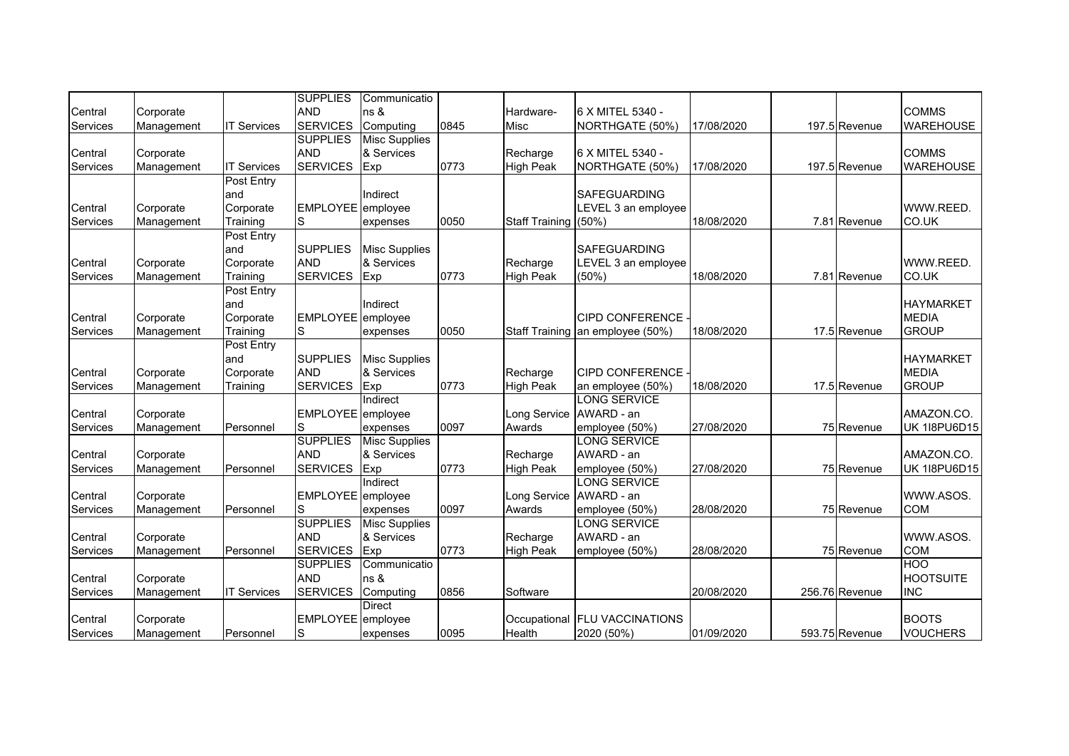|          |            |                    | <b>SUPPLIES</b>   | Communicatio         |      |                      |                                  |            |                |                     |
|----------|------------|--------------------|-------------------|----------------------|------|----------------------|----------------------------------|------------|----------------|---------------------|
| Central  | Corporate  |                    | <b>AND</b>        | ns &                 |      | Hardware-            | 6 X MITEL 5340 -                 |            |                | <b>COMMS</b>        |
| Services | Management | <b>IT Services</b> | <b>SERVICES</b>   | Computing            | 0845 | Misc                 | NORTHGATE (50%)                  | 17/08/2020 | 197.5 Revenue  | <b>WAREHOUSE</b>    |
|          |            |                    | <b>SUPPLIES</b>   | <b>Misc Supplies</b> |      |                      |                                  |            |                |                     |
| Central  | Corporate  |                    | <b>AND</b>        | & Services           |      | Recharge             | 6 X MITEL 5340 -                 |            |                | <b>COMMS</b>        |
| Services |            | <b>IT Services</b> | <b>SERVICES</b>   |                      | 0773 | <b>High Peak</b>     | NORTHGATE (50%)                  | 17/08/2020 | 197.5 Revenue  | <b>WAREHOUSE</b>    |
|          | Management |                    |                   | Exp                  |      |                      |                                  |            |                |                     |
|          |            | Post Entry         |                   |                      |      |                      |                                  |            |                |                     |
|          |            | and                |                   | Indirect             |      |                      | <b>SAFEGUARDING</b>              |            |                |                     |
| Central  | Corporate  | Corporate          | EMPLOYEE employee |                      |      |                      | LEVEL 3 an employee              |            |                | WWW.REED.           |
| Services | Management | Training           | S                 | expenses             | 0050 | Staff Training (50%) |                                  | 18/08/2020 | 7.81 Revenue   | CO.UK               |
|          |            | Post Entry         |                   |                      |      |                      |                                  |            |                |                     |
|          |            | and                | <b>SUPPLIES</b>   | <b>Misc Supplies</b> |      |                      | <b>SAFEGUARDING</b>              |            |                |                     |
| Central  | Corporate  | Corporate          | <b>AND</b>        | & Services           |      | Recharge             | LEVEL 3 an employee              |            |                | WWW.REED.           |
| Services | Management | Training           | <b>SERVICES</b>   | Exp                  | 0773 | <b>High Peak</b>     | $(50\%)$                         | 18/08/2020 | 7.81 Revenue   | CO.UK               |
|          |            | Post Entry         |                   |                      |      |                      |                                  |            |                |                     |
|          |            | and                |                   | Indirect             |      |                      |                                  |            |                | <b>HAYMARKET</b>    |
| Central  | Corporate  | Corporate          | EMPLOYEE employee |                      |      |                      | <b>CIPD CONFERENCE -</b>         |            |                | <b>MEDIA</b>        |
| Services | Management | Training           | S                 | expenses             | 0050 |                      | Staff Training an employee (50%) | 18/08/2020 | 17.5 Revenue   | <b>GROUP</b>        |
|          |            | Post Entry         |                   |                      |      |                      |                                  |            |                |                     |
|          |            | and                | <b>SUPPLIES</b>   | <b>Misc Supplies</b> |      |                      |                                  |            |                | <b>HAYMARKET</b>    |
| Central  | Corporate  | Corporate          | <b>AND</b>        | & Services           |      | Recharge             | CIPD CONFERENCE -                |            |                | <b>MEDIA</b>        |
| Services | Management | Training           | <b>SERVICES</b>   | Exp                  | 0773 | <b>High Peak</b>     | an employee (50%)                | 18/08/2020 | 17.5 Revenue   | <b>GROUP</b>        |
|          |            |                    |                   | Indirect             |      |                      | <b>LONG SERVICE</b>              |            |                |                     |
| Central  | Corporate  |                    | EMPLOYEE employee |                      |      | Long Service         | AWARD - an                       |            |                | AMAZON.CO.          |
| Services | Management | Personnel          | S                 | expenses             | 0097 | Awards               | employee (50%)                   | 27/08/2020 | 75 Revenue     | <b>UK 1I8PU6D15</b> |
|          |            |                    | <b>SUPPLIES</b>   | <b>Misc Supplies</b> |      |                      | <b>LONG SERVICE</b>              |            |                |                     |
| Central  | Corporate  |                    | <b>AND</b>        | & Services           |      | Recharge             | AWARD - an                       |            |                | AMAZON.CO.          |
| Services | Management | Personnel          | <b>SERVICES</b>   | Exp                  | 0773 | <b>High Peak</b>     | employee (50%)                   | 27/08/2020 | 75 Revenue     | <b>UK 1I8PU6D15</b> |
|          |            |                    |                   | Indirect             |      |                      | <b>LONG SERVICE</b>              |            |                |                     |
| Central  | Corporate  |                    | EMPLOYEE employee |                      |      | Long Service         | AWARD - an                       |            |                | WWW.ASOS.           |
| Services | Management | Personnel          | S                 | expenses             | 0097 | Awards               | employee (50%)                   | 28/08/2020 | 75 Revenue     | <b>COM</b>          |
|          |            |                    | <b>SUPPLIES</b>   | <b>Misc Supplies</b> |      |                      | <b>LONG SERVICE</b>              |            |                |                     |
| Central  | Corporate  |                    | <b>AND</b>        | & Services           |      | Recharge             | AWARD - an                       |            |                | WWW.ASOS.           |
| Services | Management | Personnel          | <b>SERVICES</b>   | Exp                  | 0773 | <b>High Peak</b>     | employee (50%)                   | 28/08/2020 | 75 Revenue     | <b>COM</b>          |
|          |            |                    | <b>SUPPLIES</b>   | Communicatio         |      |                      |                                  |            |                | <b>HOO</b>          |
| Central  | Corporate  |                    | <b>AND</b>        | ns &                 |      |                      |                                  |            |                | <b>HOOTSUITE</b>    |
|          |            |                    |                   |                      | 0856 | Software             |                                  | 20/08/2020 |                | <b>INC</b>          |
| Services | Management | <b>IT Services</b> | <b>SERVICES</b>   | Computing            |      |                      |                                  |            | 256.76 Revenue |                     |
|          |            |                    |                   | <b>Direct</b>        |      |                      |                                  |            |                |                     |
| Central  | Corporate  |                    | EMPLOYEE employee |                      |      |                      | Occupational FLU VACCINATIONS    |            |                | <b>BOOTS</b>        |
| Services | Management | Personnel          | S                 | expenses             | 0095 | Health               | 2020 (50%)                       | 01/09/2020 | 593.75 Revenue | <b>VOUCHERS</b>     |